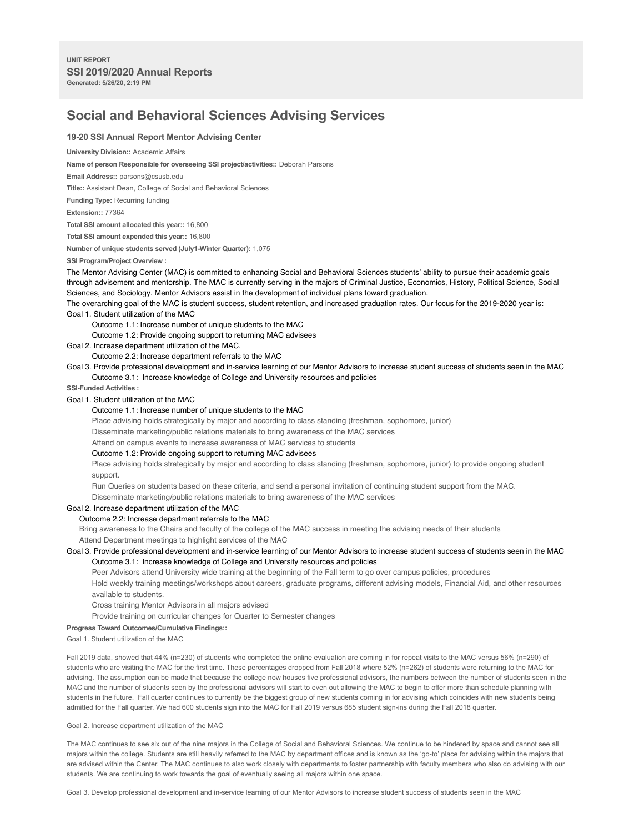# **Social and Behavioral Sciences Advising Services**

## **19-20 SSI Annual Report Mentor Advising Center**

#### **University Division::** Academic Affairs

**Name of person Responsible for overseeing SSI project/activities::** Deborah Parsons

**Email Address::** parsons@csusb.edu

**Title::** Assistant Dean, College of Social and Behavioral Sciences

**Funding Type:** Recurring funding

**Extension::** 77364

**Total SSI amount allocated this year::** 16,800

**Total SSI amount expended this year::** 16,800

**Number of unique students served (July1-Winter Quarter):** 1,075

**SSI Program/Project Overview :**

The Mentor Advising Center (MAC) is committed to enhancing Social and Behavioral Sciences students' ability to pursue their academic goals through advisement and mentorship. The MAC is currently serving in the majors of Criminal Justice, Economics, History, Political Science, Social Sciences, and Sociology. Mentor Advisors assist in the development of individual plans toward graduation.

The overarching goal of the MAC is student success, student retention, and increased graduation rates. Our focus for the 2019-2020 year is:

Goal 1. Student utilization of the MAC

Outcome 1.1: Increase number of unique students to the MAC

Outcome 1.2: Provide ongoing support to returning MAC advisees

Goal 2. Increase department utilization of the MAC.

Outcome 2.2: Increase department referrals to the MAC

Goal 3. Provide professional development and in-service learning of our Mentor Advisors to increase student success of students seen in the MAC Outcome 3.1: Increase knowledge of College and University resources and policies

**SSI-Funded Activities :**

# Goal 1. Student utilization of the MAC

## Outcome 1.1: Increase number of unique students to the MAC

Place advising holds strategically by major and according to class standing (freshman, sophomore, junior)

Disseminate marketing/public relations materials to bring awareness of the MAC services

Attend on campus events to increase awareness of MAC services to students

#### Outcome 1.2: Provide ongoing support to returning MAC advisees

Place advising holds strategically by major and according to class standing (freshman, sophomore, junior) to provide ongoing student support.

Run Queries on students based on these criteria, and send a personal invitation of continuing student support from the MAC.

Disseminate marketing/public relations materials to bring awareness of the MAC services

## Goal 2. Increase department utilization of the MAC

## Outcome 2.2: Increase department referrals to the MAC

Bring awareness to the Chairs and faculty of the college of the MAC success in meeting the advising needs of their students Attend Department meetings to highlight services of the MAC

Goal 3. Provide professional development and in-service learning of our Mentor Advisors to increase student success of students seen in the MAC Outcome 3.1: Increase knowledge of College and University resources and policies

Peer Advisors attend University wide training at the beginning of the Fall term to go over campus policies, procedures Hold weekly training meetings/workshops about careers, graduate programs, different advising models, Financial Aid, and other resources available to students.

Cross training Mentor Advisors in all majors advised

Provide training on curricular changes for Quarter to Semester changes

#### **Progress Toward Outcomes/Cumulative Findings::**

Goal 1. Student utilization of the MAC

Fall 2019 data, showed that 44% (n=230) of students who completed the online evaluation are coming in for repeat visits to the MAC versus 56% (n=290) of students who are visiting the MAC for the first time. These percentages dropped from Fall 2018 where 52% (n=262) of students were returning to the MAC for advising. The assumption can be made that because the college now houses five professional advisors, the numbers between the number of students seen in the MAC and the number of students seen by the professional advisors will start to even out allowing the MAC to begin to offer more than schedule planning with students in the future. Fall quarter continues to currently be the biggest group of new students coming in for advising which coincides with new students being admitted for the Fall quarter. We had 600 students sign into the MAC for Fall 2019 versus 685 student sign-ins during the Fall 2018 quarter.

Goal 2. Increase department utilization of the MAC

The MAC continues to see six out of the nine majors in the College of Social and Behavioral Sciences. We continue to be hindered by space and cannot see all majors within the college. Students are still heavily referred to the MAC by department offices and is known as the 'go-to' place for advising within the majors that are advised within the Center. The MAC continues to also work closely with departments to foster partnership with faculty members who also do advising with our students. We are continuing to work towards the goal of eventually seeing all majors within one space.

Goal 3. Develop professional development and in-service learning of our Mentor Advisors to increase student success of students seen in the MAC